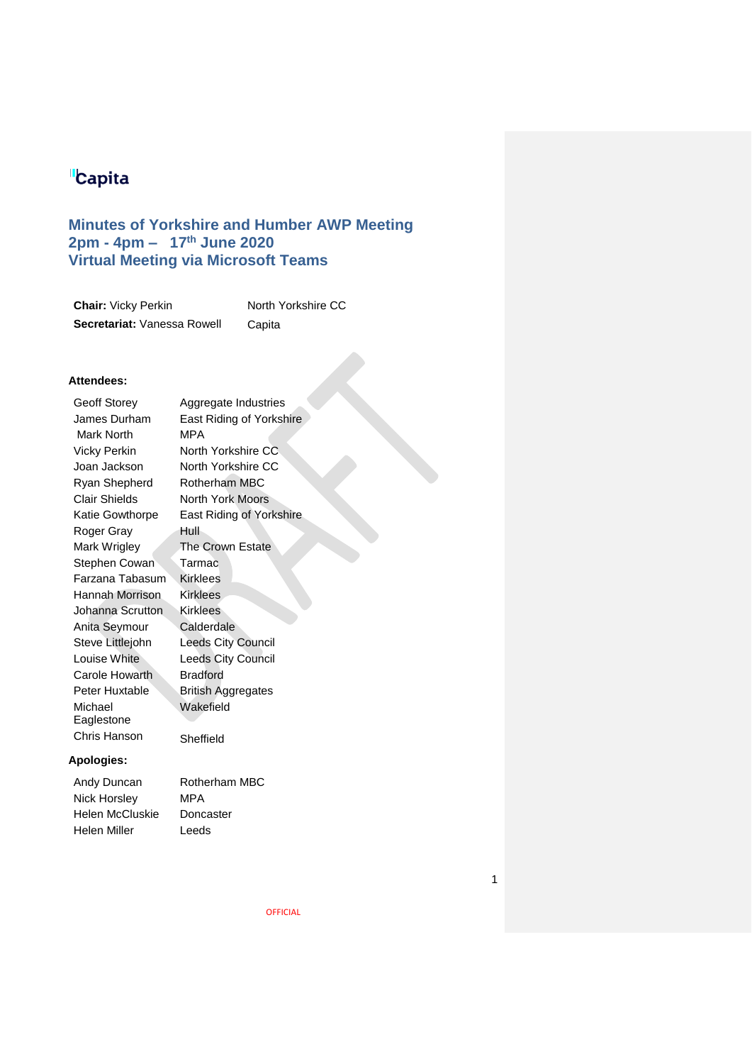# **Capita**

# **Minutes of Yorkshire and Humber AWP Meeting 2pm - 4pm – 17th June 2020 Virtual Meeting via Microsoft Teams**

| <b>Chair: Vicky Perkin</b>  | North Yorkshire CC |
|-----------------------------|--------------------|
| Secretariat: Vanessa Rowell | Capita             |

# **Attendees:**

Geoff Storey James Durham Mark North Vicky Perkin Joan Jackson Ryan Shepherd Clair Shields Katie Gowthorpe Roger Gray Mark Wrigley Stephen Cowan Farzana Tabasum Hannah Morrison Johanna Scrutton Anita Seymour Steve Littlejohn Louise White Carole Howarth Peter Huxtable Michael Eaglestone Chris Hanson Sheffield

Aggregate Industries East Riding of Yorkshire MPA North Yorkshire CC North Yorkshire CC Rotherham MBC North York Moors East Riding of Yorkshire Hull The Crown Estate Tarmac Kirklees Kirklees Kirklees **Calderdale** Leeds City Council Leeds City Council Bradford British Aggregates Wakefield

### **Apologies:**

| Andy Duncan     | Rotherham MBC |
|-----------------|---------------|
| Nick Horsley    | MPA           |
| Helen McCluskie | Doncaster     |
| Helen Miller    | Leeds         |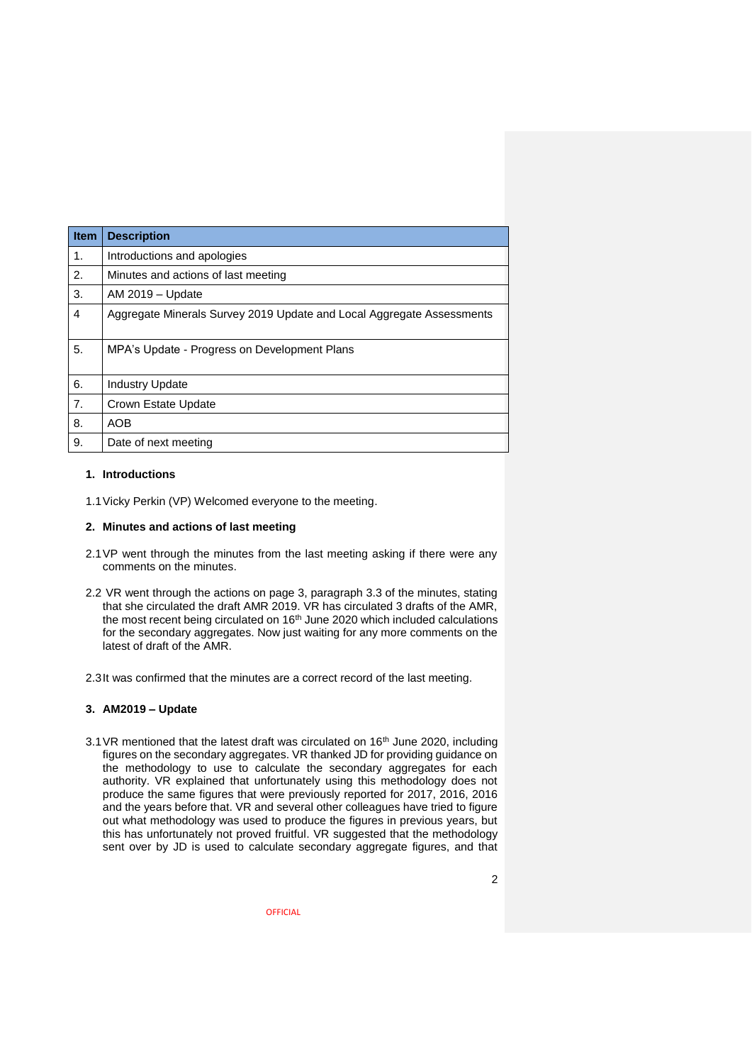| <b>Item</b> | <b>Description</b>                                                    |
|-------------|-----------------------------------------------------------------------|
| 1.          | Introductions and apologies                                           |
| 2.          | Minutes and actions of last meeting                                   |
| 3.          | AM 2019 - Update                                                      |
| 4           | Aggregate Minerals Survey 2019 Update and Local Aggregate Assessments |
| 5.          | MPA's Update - Progress on Development Plans                          |
| 6.          | <b>Industry Update</b>                                                |
| 7.          | Crown Estate Update                                                   |
| 8.          | <b>AOB</b>                                                            |
| 9.          | Date of next meeting                                                  |

#### **1. Introductions**

1.1Vicky Perkin (VP) Welcomed everyone to the meeting.

#### **2. Minutes and actions of last meeting**

- 2.1VP went through the minutes from the last meeting asking if there were any comments on the minutes.
- 2.2 VR went through the actions on page 3, paragraph 3.3 of the minutes, stating that she circulated the draft AMR 2019. VR has circulated 3 drafts of the AMR, the most recent being circulated on 16<sup>th</sup> June 2020 which included calculations for the secondary aggregates. Now just waiting for any more comments on the latest of draft of the AMR.
- 2.3It was confirmed that the minutes are a correct record of the last meeting.

#### **3. AM2019 – Update**

 $3.1$  VR mentioned that the latest draft was circulated on  $16<sup>th</sup>$  June 2020. including figures on the secondary aggregates. VR thanked JD for providing guidance on the methodology to use to calculate the secondary aggregates for each authority. VR explained that unfortunately using this methodology does not produce the same figures that were previously reported for 2017, 2016, 2016 and the years before that. VR and several other colleagues have tried to figure out what methodology was used to produce the figures in previous years, but this has unfortunately not proved fruitful. VR suggested that the methodology sent over by JD is used to calculate secondary aggregate figures, and that

2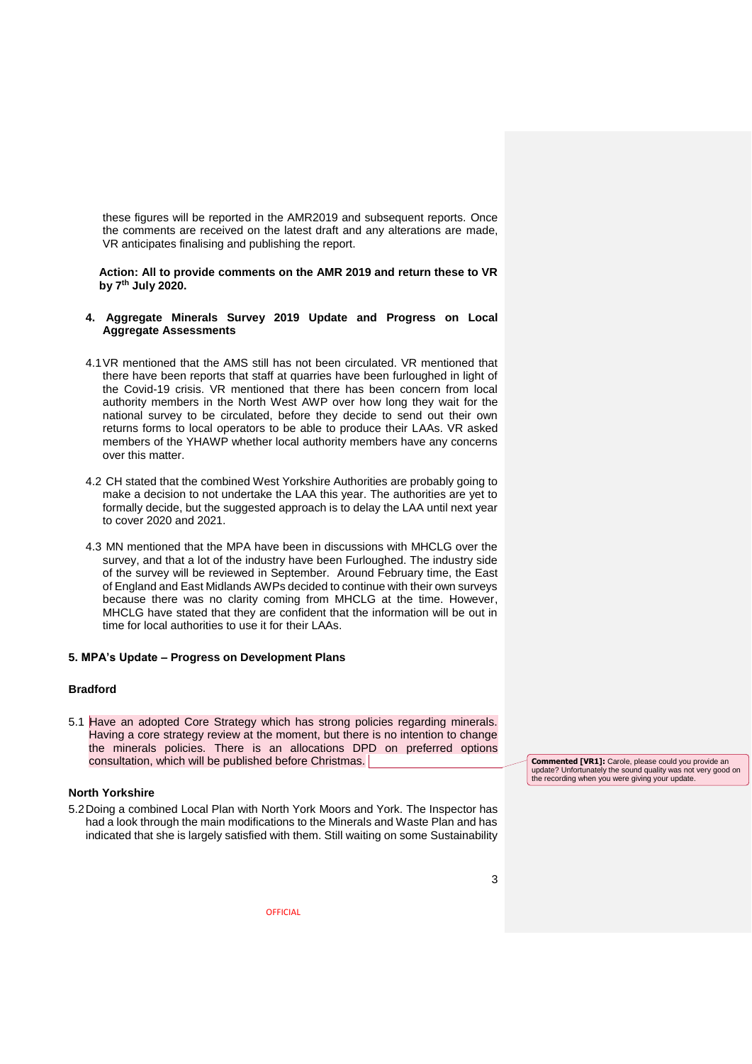these figures will be reported in the AMR2019 and subsequent reports. Once the comments are received on the latest draft and any alterations are made, VR anticipates finalising and publishing the report.

**Action: All to provide comments on the AMR 2019 and return these to VR by 7th July 2020.** 

- **4. Aggregate Minerals Survey 2019 Update and Progress on Local Aggregate Assessments**
- 4.1VR mentioned that the AMS still has not been circulated. VR mentioned that there have been reports that staff at quarries have been furloughed in light of the Covid-19 crisis. VR mentioned that there has been concern from local authority members in the North West AWP over how long they wait for the national survey to be circulated, before they decide to send out their own returns forms to local operators to be able to produce their LAAs. VR asked members of the YHAWP whether local authority members have any concerns over this matter.
- 4.2 CH stated that the combined West Yorkshire Authorities are probably going to make a decision to not undertake the LAA this year. The authorities are yet to formally decide, but the suggested approach is to delay the LAA until next year to cover 2020 and 2021.
- 4.3 MN mentioned that the MPA have been in discussions with MHCLG over the survey, and that a lot of the industry have been Furloughed. The industry side of the survey will be reviewed in September. Around February time, the East of England and East Midlands AWPs decided to continue with their own surveys because there was no clarity coming from MHCLG at the time. However, MHCLG have stated that they are confident that the information will be out in time for local authorities to use it for their LAAs.

#### **5. MPA's Update – Progress on Development Plans**

#### **Bradford**

5.1 Have an adopted Core Strategy which has strong policies regarding minerals. Having a core strategy review at the moment, but there is no intention to change the minerals policies. There is an allocations DPD on preferred options consultation, which will be published before Christmas.

#### **North Yorkshire**

5.2Doing a combined Local Plan with North York Moors and York. The Inspector has had a look through the main modifications to the Minerals and Waste Plan and has indicated that she is largely satisfied with them. Still waiting on some Sustainability

**Commented [VR1]:** Carole, please could you provide an update? Unfortunately the sound quality was not very good on the recording when you were giving your update.

3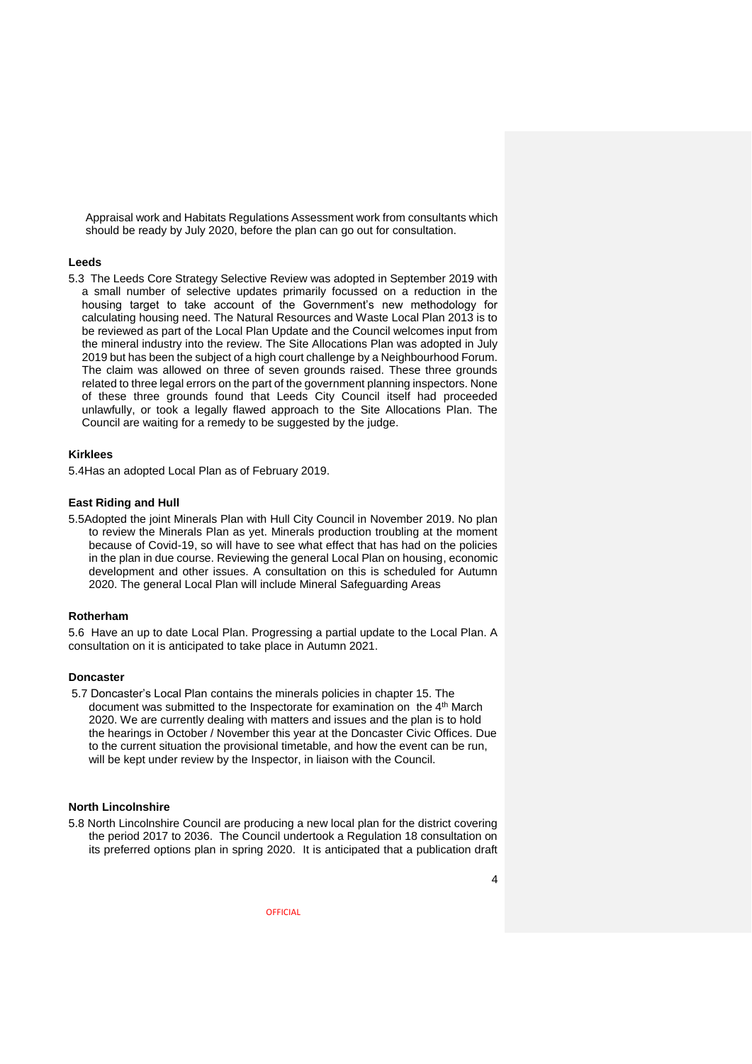Appraisal work and Habitats Regulations Assessment work from consultants which should be ready by July 2020, before the plan can go out for consultation.

#### **Leeds**

5.3 The Leeds Core Strategy Selective Review was adopted in September 2019 with a small number of selective updates primarily focussed on a reduction in the housing target to take account of the Government's new methodology for calculating housing need. The Natural Resources and Waste Local Plan 2013 is to be reviewed as part of the Local Plan Update and the Council welcomes input from the mineral industry into the review. The Site Allocations Plan was adopted in July 2019 but has been the subject of a high court challenge by a Neighbourhood Forum. The claim was allowed on three of seven grounds raised. These three grounds related to three legal errors on the part of the government planning inspectors. None of these three grounds found that Leeds City Council itself had proceeded unlawfully, or took a legally flawed approach to the Site Allocations Plan. The Council are waiting for a remedy to be suggested by the judge.

#### **Kirklees**

5.4Has an adopted Local Plan as of February 2019.

#### **East Riding and Hull**

5.5Adopted the joint Minerals Plan with Hull City Council in November 2019. No plan to review the Minerals Plan as yet. Minerals production troubling at the moment because of Covid-19, so will have to see what effect that has had on the policies in the plan in due course. Reviewing the general Local Plan on housing, economic development and other issues. A consultation on this is scheduled for Autumn 2020. The general Local Plan will include Mineral Safeguarding Areas

#### **Rotherham**

5.6 Have an up to date Local Plan. Progressing a partial update to the Local Plan. A consultation on it is anticipated to take place in Autumn 2021.

#### **Doncaster**

5.7 Doncaster's Local Plan contains the minerals policies in chapter 15. The document was submitted to the Inspectorate for examination on the 4<sup>th</sup> March 2020. We are currently dealing with matters and issues and the plan is to hold the hearings in October / November this year at the Doncaster Civic Offices. Due to the current situation the provisional timetable, and how the event can be run, will be kept under review by the Inspector, in liaison with the Council.

## **North Lincolnshire**

5.8 North Lincolnshire Council are producing a new local plan for the district covering the period 2017 to 2036. The Council undertook a Regulation 18 consultation on its preferred options plan in spring 2020. It is anticipated that a publication draft

4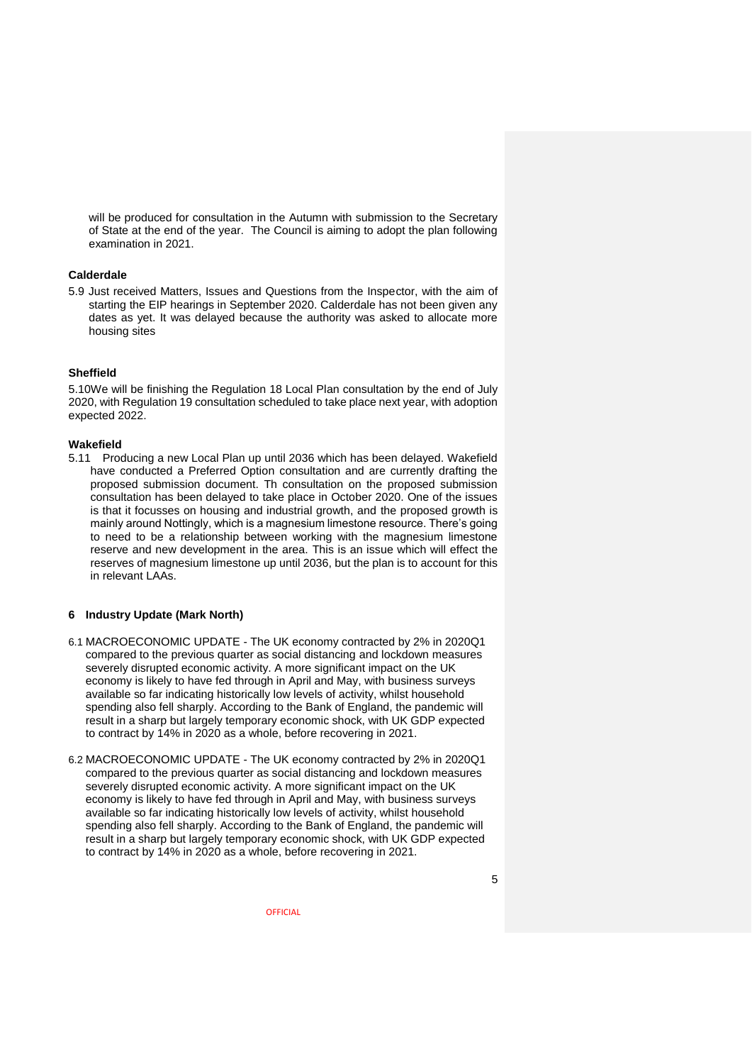will be produced for consultation in the Autumn with submission to the Secretary of State at the end of the year. The Council is aiming to adopt the plan following examination in 2021.

#### **Calderdale**

5.9 Just received Matters, Issues and Questions from the Inspector, with the aim of starting the EIP hearings in September 2020. Calderdale has not been given any dates as yet. It was delayed because the authority was asked to allocate more housing sites

#### **Sheffield**

5.10We will be finishing the Regulation 18 Local Plan consultation by the end of July 2020, with Regulation 19 consultation scheduled to take place next year, with adoption expected 2022.

#### **Wakefield**

5.11 Producing a new Local Plan up until 2036 which has been delayed. Wakefield have conducted a Preferred Option consultation and are currently drafting the proposed submission document. Th consultation on the proposed submission consultation has been delayed to take place in October 2020. One of the issues is that it focusses on housing and industrial growth, and the proposed growth is mainly around Nottingly, which is a magnesium limestone resource. There's going to need to be a relationship between working with the magnesium limestone reserve and new development in the area. This is an issue which will effect the reserves of magnesium limestone up until 2036, but the plan is to account for this in relevant LAAs.

#### **6 Industry Update (Mark North)**

- 6.1 MACROECONOMIC UPDATE The UK economy contracted by 2% in 2020Q1 compared to the previous quarter as social distancing and lockdown measures severely disrupted economic activity. A more significant impact on the UK economy is likely to have fed through in April and May, with business surveys available so far indicating historically low levels of activity, whilst household spending also fell sharply. According to the Bank of England, the pandemic will result in a sharp but largely temporary economic shock, with UK GDP expected to contract by 14% in 2020 as a whole, before recovering in 2021.
- 6.2 MACROECONOMIC UPDATE The UK economy contracted by 2% in 2020Q1 compared to the previous quarter as social distancing and lockdown measures severely disrupted economic activity. A more significant impact on the UK economy is likely to have fed through in April and May, with business surveys available so far indicating historically low levels of activity, whilst household spending also fell sharply. According to the Bank of England, the pandemic will result in a sharp but largely temporary economic shock, with UK GDP expected to contract by 14% in 2020 as a whole, before recovering in 2021.

5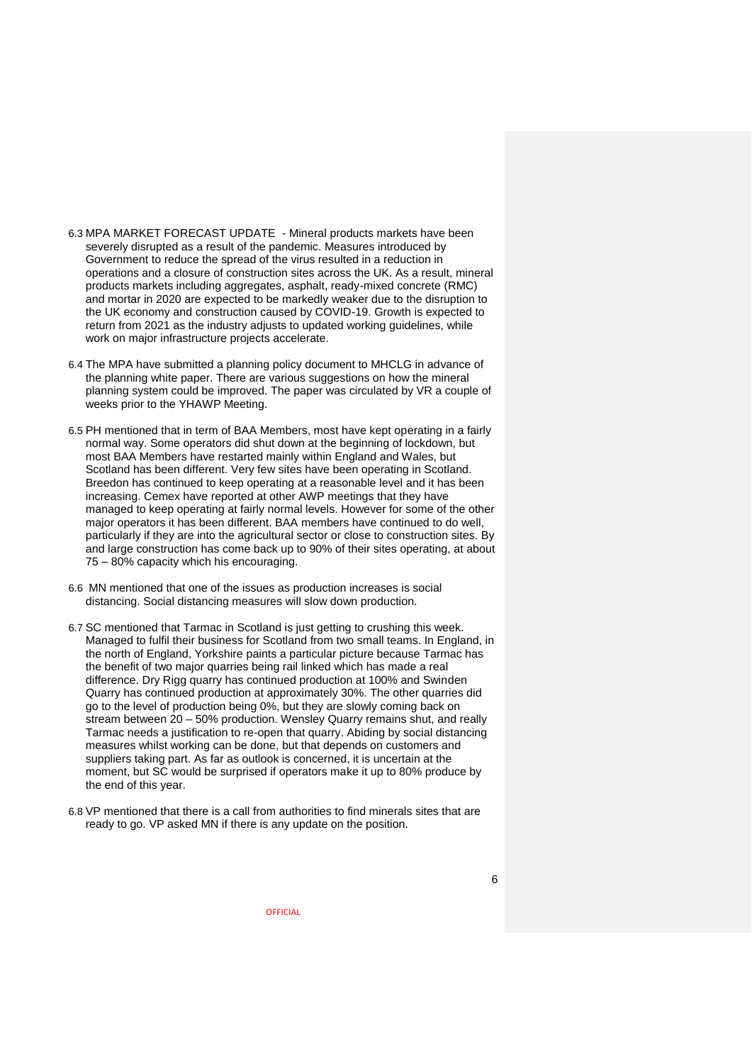- 6.3 MPA MARKET FORECAST UPDATE Mineral products markets have been severely disrupted as a result of the pandemic. Measures introduced by Government to reduce the spread of the virus resulted in a reduction in operations and a closure of construction sites across the UK. As a result, mineral products markets including aggregates, asphalt, ready-mixed concrete (RMC) and mortar in 2020 are expected to be markedly weaker due to the disruption to the UK economy and construction caused by COVID-19. Growth is expected to return from 2021 as the industry adjusts to updated working guidelines, while work on major infrastructure projects accelerate.
- 6.4 The MPA have submitted a planning policy document to MHCLG in advance of the planning white paper. There are various suggestions on how the mineral planning system could be improved. The paper was circulated by VR a couple of weeks prior to the YHAWP Meeting.
- 6.5 PH mentioned that in term of BAA Members, most have kept operating in a fairly normal way. Some operators did shut down at the beginning of lockdown, but most BAA Members have restarted mainly within England and Wales, but Scotland has been different. Very few sites have been operating in Scotland. Breedon has continued to keep operating at a reasonable level and it has been increasing. Cemex have reported at other AWP meetings that they have managed to keep operating at fairly normal levels. However for some of the other major operators it has been different. BAA members have continued to do well, particularly if they are into the agricultural sector or close to construction sites. By and large construction has come back up to 90% of their sites operating, at about 75 – 80% capacity which his encouraging.
- 6.6 MN mentioned that one of the issues as production increases is social distancing. Social distancing measures will slow down production.
- 6.7 SC mentioned that Tarmac in Scotland is just getting to crushing this week. Managed to fulfil their business for Scotland from two small teams. In England, in the north of England, Yorkshire paints a particular picture because Tarmac has the benefit of two major quarries being rail linked which has made a real difference. Dry Rigg quarry has continued production at 100% and Swinden Quarry has continued production at approximately 30%. The other quarries did go to the level of production being 0%, but they are slowly coming back on stream between 20 – 50% production. Wensley Quarry remains shut, and really Tarmac needs a justification to re-open that quarry. Abiding by social distancing measures whilst working can be done, but that depends on customers and suppliers taking part. As far as outlook is concerned, it is uncertain at the moment, but SC would be surprised if operators make it up to 80% produce by the end of this year.
- 6.8 VP mentioned that there is a call from authorities to find minerals sites that are ready to go. VP asked MN if there is any update on the position.

6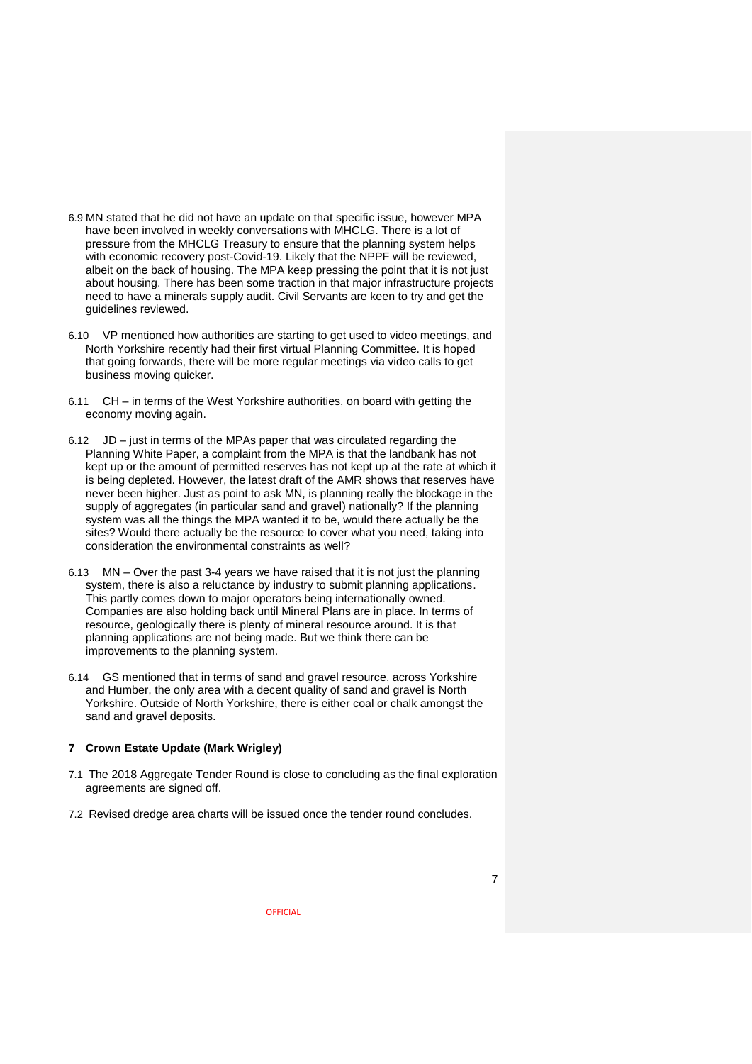- 6.9 MN stated that he did not have an update on that specific issue, however MPA have been involved in weekly conversations with MHCLG. There is a lot of pressure from the MHCLG Treasury to ensure that the planning system helps with economic recovery post-Covid-19. Likely that the NPPF will be reviewed, albeit on the back of housing. The MPA keep pressing the point that it is not just about housing. There has been some traction in that major infrastructure projects need to have a minerals supply audit. Civil Servants are keen to try and get the guidelines reviewed.
- 6.10 VP mentioned how authorities are starting to get used to video meetings, and North Yorkshire recently had their first virtual Planning Committee. It is hoped that going forwards, there will be more regular meetings via video calls to get business moving quicker.
- 6.11 CH in terms of the West Yorkshire authorities, on board with getting the economy moving again.
- 6.12 JD just in terms of the MPAs paper that was circulated regarding the Planning White Paper, a complaint from the MPA is that the landbank has not kept up or the amount of permitted reserves has not kept up at the rate at which it is being depleted. However, the latest draft of the AMR shows that reserves have never been higher. Just as point to ask MN, is planning really the blockage in the supply of aggregates (in particular sand and gravel) nationally? If the planning system was all the things the MPA wanted it to be, would there actually be the sites? Would there actually be the resource to cover what you need, taking into consideration the environmental constraints as well?
- 6.13 MN Over the past 3-4 years we have raised that it is not just the planning system, there is also a reluctance by industry to submit planning applications. This partly comes down to major operators being internationally owned. Companies are also holding back until Mineral Plans are in place. In terms of resource, geologically there is plenty of mineral resource around. It is that planning applications are not being made. But we think there can be improvements to the planning system.
- 6.14 GS mentioned that in terms of sand and gravel resource, across Yorkshire and Humber, the only area with a decent quality of sand and gravel is North Yorkshire. Outside of North Yorkshire, there is either coal or chalk amongst the sand and gravel deposits.

#### **7 Crown Estate Update (Mark Wrigley)**

- 7.1 The 2018 Aggregate Tender Round is close to concluding as the final exploration agreements are signed off.
- 7.2 Revised dredge area charts will be issued once the tender round concludes.